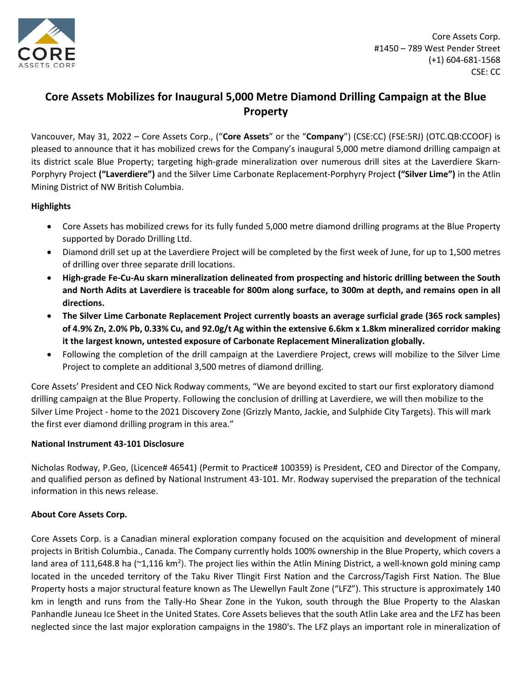

# **Core Assets Mobilizes for Inaugural 5,000 Metre Diamond Drilling Campaign at the Blue Property**

Vancouver, May 31, 2022 – Core Assets Corp., ("**Core Assets**" or the "**Company**") (CSE:CC) (FSE:5RJ) (OTC.QB:CCOOF) is pleased to announce that it has mobilized crews for the Company's inaugural 5,000 metre diamond drilling campaign at its district scale Blue Property; targeting high-grade mineralization over numerous drill sites at the Laverdiere Skarn-Porphyry Project **("Laverdiere")** and the Silver Lime Carbonate Replacement-Porphyry Project **("Silver Lime")** in the Atlin Mining District of NW British Columbia.

# **Highlights**

- Core Assets has mobilized crews for its fully funded 5,000 metre diamond drilling programs at the Blue Property supported by Dorado Drilling Ltd.
- Diamond drill set up at the Laverdiere Project will be completed by the first week of June, for up to 1,500 metres of drilling over three separate drill locations.
- **High-grade Fe-Cu-Au skarn mineralization delineated from prospecting and historic drilling between the South and North Adits at Laverdiere is traceable for 800m along surface, to 300m at depth, and remains open in all directions.**
- **The Silver Lime Carbonate Replacement Project currently boasts an average surficial grade (365 rock samples) of 4.9% Zn, 2.0% Pb, 0.33% Cu, and 92.0g/t Ag within the extensive 6.6km x 1.8km mineralized corridor making it the largest known, untested exposure of Carbonate Replacement Mineralization globally.**
- Following the completion of the drill campaign at the Laverdiere Project, crews will mobilize to the Silver Lime Project to complete an additional 3,500 metres of diamond drilling.

Core Assets' President and CEO Nick Rodway comments, "We are beyond excited to start our first exploratory diamond drilling campaign at the Blue Property. Following the conclusion of drilling at Laverdiere, we will then mobilize to the Silver Lime Project - home to the 2021 Discovery Zone (Grizzly Manto, Jackie, and Sulphide City Targets). This will mark the first ever diamond drilling program in this area."

### **National Instrument 43-101 Disclosure**

Nicholas Rodway, P.Geo, (Licence# 46541) (Permit to Practice# 100359) is President, CEO and Director of the Company, and qualified person as defined by National Instrument 43-101. Mr. Rodway supervised the preparation of the technical information in this news release.

# **About Core Assets Corp.**

Core Assets Corp. is a Canadian mineral exploration company focused on the acquisition and development of mineral projects in British Columbia., Canada. The Company currently holds 100% ownership in the Blue Property, which covers a land area of 111,648.8 ha (~1,116 km<sup>2</sup>). The project lies within the Atlin Mining District, a well-known gold mining camp located in the unceded territory of the Taku River Tlingit First Nation and the Carcross/Tagish First Nation. The Blue Property hosts a major structural feature known as The Llewellyn Fault Zone ("LFZ"). This structure is approximately 140 km in length and runs from the Tally-Ho Shear Zone in the Yukon, south through the Blue Property to the Alaskan Panhandle Juneau Ice Sheet in the United States. Core Assets believes that the south Atlin Lake area and the LFZ has been neglected since the last major exploration campaigns in the 1980's. The LFZ plays an important role in mineralization of